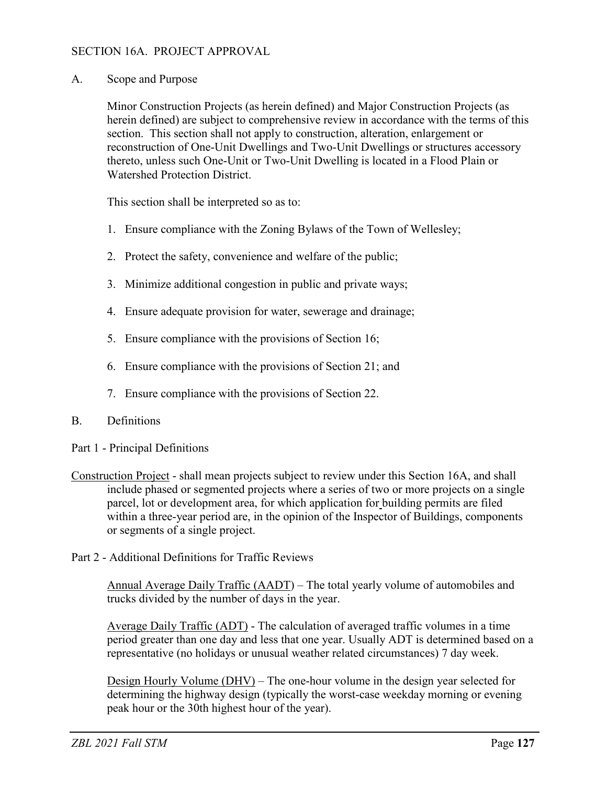## SECTION 16A. PROJECT APPROVAL

A. Scope and Purpose

Minor Construction Projects (as herein defined) and Major Construction Projects (as herein defined) are subject to comprehensive review in accordance with the terms of this section. This section shall not apply to construction, alteration, enlargement or reconstruction of One-Unit Dwellings and Two-Unit Dwellings or structures accessory thereto, unless such One-Unit or Two-Unit Dwelling is located in a Flood Plain or Watershed Protection District.

This section shall be interpreted so as to:

- 1. Ensure compliance with the Zoning Bylaws of the Town of Wellesley;
- 2. Protect the safety, convenience and welfare of the public;
- 3. Minimize additional congestion in public and private ways;
- 4. Ensure adequate provision for water, sewerage and drainage;
- 5. Ensure compliance with the provisions of Section 16;
- 6. Ensure compliance with the provisions of Section 21; and
- 7. Ensure compliance with the provisions of Section 22.

## B. Definitions

- Part 1 Principal Definitions
- Construction Project shall mean projects subject to review under this Section 16A, and shall include phased or segmented projects where a series of two or more projects on a single parcel, lot or development area, for which application for building permits are filed within a three-year period are, in the opinion of the Inspector of Buildings, components or segments of a single project.
- Part 2 Additional Definitions for Traffic Reviews

Annual Average Daily Traffic (AADT) – The total yearly volume of automobiles and trucks divided by the number of days in the year.

Average Daily Traffic (ADT) - The calculation of averaged traffic volumes in a time period greater than one day and less that one year. Usually ADT is determined based on a representative (no holidays or unusual weather related circumstances) 7 day week.

Design Hourly Volume (DHV) – The one-hour volume in the design year selected for determining the highway design (typically the worst-case weekday morning or evening peak hour or the 30th highest hour of the year).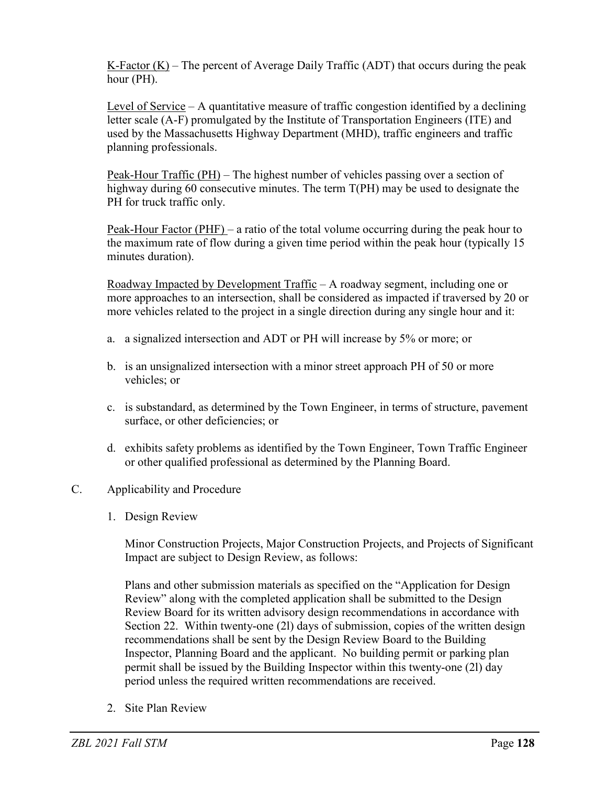K-Factor  $(K)$  – The percent of Average Daily Traffic (ADT) that occurs during the peak hour (PH).

Level of Service  $- A$  quantitative measure of traffic congestion identified by a declining letter scale (A-F) promulgated by the Institute of Transportation Engineers (ITE) and used by the Massachusetts Highway Department (MHD), traffic engineers and traffic planning professionals.

Peak-Hour Traffic (PH) – The highest number of vehicles passing over a section of highway during 60 consecutive minutes. The term T(PH) may be used to designate the PH for truck traffic only.

Peak-Hour Factor (PHF) – a ratio of the total volume occurring during the peak hour to the maximum rate of flow during a given time period within the peak hour (typically 15 minutes duration).

Roadway Impacted by Development Traffic – A roadway segment, including one or more approaches to an intersection, shall be considered as impacted if traversed by 20 or more vehicles related to the project in a single direction during any single hour and it:

- a. a signalized intersection and ADT or PH will increase by 5% or more; or
- b. is an unsignalized intersection with a minor street approach PH of 50 or more vehicles; or
- c. is substandard, as determined by the Town Engineer, in terms of structure, pavement surface, or other deficiencies; or
- d. exhibits safety problems as identified by the Town Engineer, Town Traffic Engineer or other qualified professional as determined by the Planning Board.
- C. Applicability and Procedure
	- 1. Design Review

Minor Construction Projects, Major Construction Projects, and Projects of Significant Impact are subject to Design Review, as follows:

Plans and other submission materials as specified on the "Application for Design Review" along with the completed application shall be submitted to the Design Review Board for its written advisory design recommendations in accordance with Section 22. Within twenty-one (2l) days of submission, copies of the written design recommendations shall be sent by the Design Review Board to the Building Inspector, Planning Board and the applicant. No building permit or parking plan permit shall be issued by the Building Inspector within this twenty-one (2l) day period unless the required written recommendations are received.

2. Site Plan Review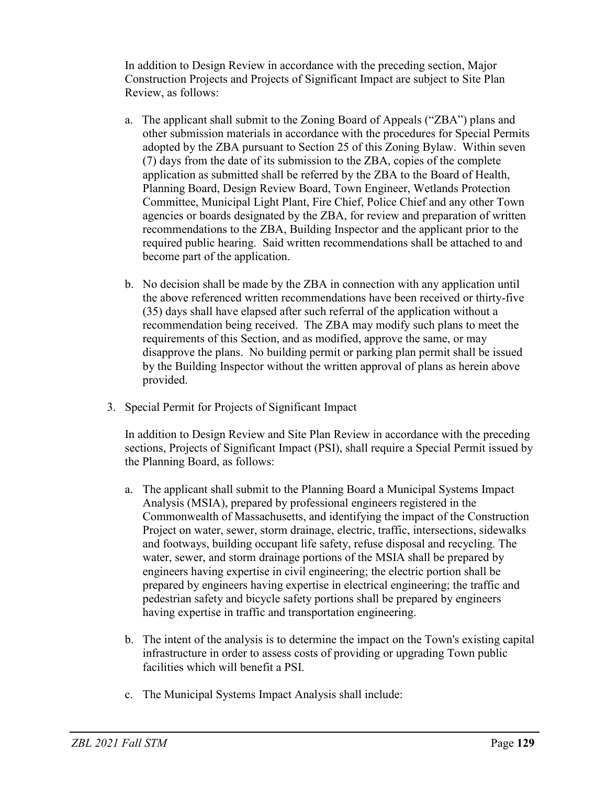In addition to Design Review in accordance with the preceding section, Major Construction Projects and Projects of Significant Impact are subject to Site Plan Review, as follows:

- a. The applicant shall submit to the Zoning Board of Appeals ("ZBA") plans and other submission materials in accordance with the procedures for Special Permits adopted by the ZBA pursuant to Section 25 of this Zoning Bylaw. Within seven (7) days from the date of its submission to the ZBA, copies of the complete application as submitted shall be referred by the ZBA to the Board of Health, Planning Board, Design Review Board, Town Engineer, Wetlands Protection Committee, Municipal Light Plant, Fire Chief, Police Chief and any other Town agencies or boards designated by the ZBA, for review and preparation of written recommendations to the ZBA, Building Inspector and the applicant prior to the required public hearing. Said written recommendations shall be attached to and become part of the application.
- b. No decision shall be made by the ZBA in connection with any application until the above referenced written recommendations have been received or thirty-five (35) days shall have elapsed after such referral of the application without a recommendation being received. The ZBA may modify such plans to meet the requirements of this Section, and as modified, approve the same, or may disapprove the plans. No building permit or parking plan permit shall be issued by the Building Inspector without the written approval of plans as herein above provided.
- 3. Special Permit for Projects of Significant Impact

In addition to Design Review and Site Plan Review in accordance with the preceding sections, Projects of Significant Impact (PSI), shall require a Special Permit issued by the Planning Board, as follows:

- a. The applicant shall submit to the Planning Board a Municipal Systems Impact Analysis (MSIA), prepared by professional engineers registered in the Commonwealth of Massachusetts, and identifying the impact of the Construction Project on water, sewer, storm drainage, electric, traffic, intersections, sidewalks and footways, building occupant life safety, refuse disposal and recycling. The water, sewer, and storm drainage portions of the MSIA shall be prepared by engineers having expertise in civil engineering; the electric portion shall be prepared by engineers having expertise in electrical engineering; the traffic and pedestrian safety and bicycle safety portions shall be prepared by engineers having expertise in traffic and transportation engineering.
- b. The intent of the analysis is to determine the impact on the Town's existing capital infrastructure in order to assess costs of providing or upgrading Town public facilities which will benefit a PSI.
- c. The Municipal Systems Impact Analysis shall include: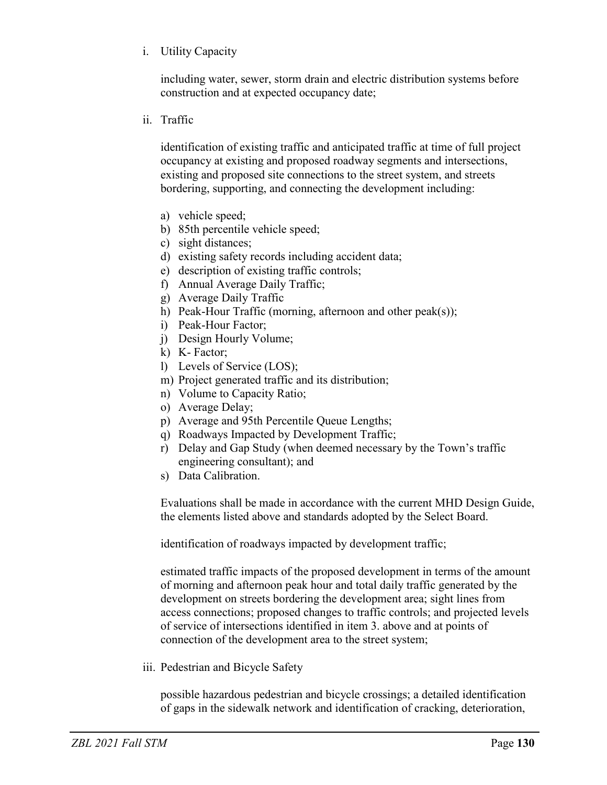i. Utility Capacity

including water, sewer, storm drain and electric distribution systems before construction and at expected occupancy date;

ii. Traffic

identification of existing traffic and anticipated traffic at time of full project occupancy at existing and proposed roadway segments and intersections, existing and proposed site connections to the street system, and streets bordering, supporting, and connecting the development including:

- a) vehicle speed;
- b) 85th percentile vehicle speed;
- c) sight distances;
- d) existing safety records including accident data;
- e) description of existing traffic controls;
- f) Annual Average Daily Traffic;
- g) Average Daily Traffic
- h) Peak-Hour Traffic (morning, afternoon and other peak(s));
- i) Peak-Hour Factor;
- j) Design Hourly Volume;
- k) K- Factor;
- l) Levels of Service (LOS);
- m) Project generated traffic and its distribution;
- n) Volume to Capacity Ratio;
- o) Average Delay;
- p) Average and 95th Percentile Queue Lengths;
- q) Roadways Impacted by Development Traffic;
- r) Delay and Gap Study (when deemed necessary by the Town's traffic engineering consultant); and
- s) Data Calibration.

Evaluations shall be made in accordance with the current MHD Design Guide, the elements listed above and standards adopted by the Select Board.

identification of roadways impacted by development traffic;

estimated traffic impacts of the proposed development in terms of the amount of morning and afternoon peak hour and total daily traffic generated by the development on streets bordering the development area; sight lines from access connections; proposed changes to traffic controls; and projected levels of service of intersections identified in item 3. above and at points of connection of the development area to the street system;

iii. Pedestrian and Bicycle Safety

possible hazardous pedestrian and bicycle crossings; a detailed identification of gaps in the sidewalk network and identification of cracking, deterioration,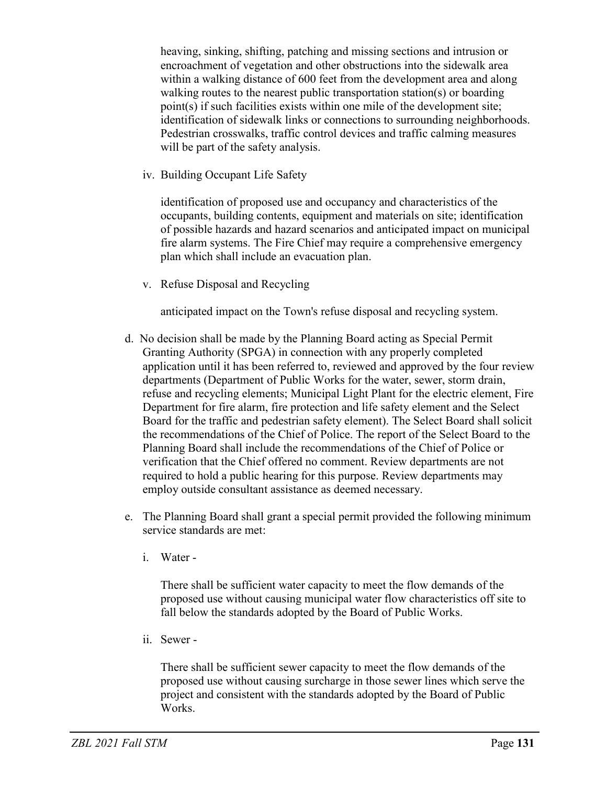heaving, sinking, shifting, patching and missing sections and intrusion or encroachment of vegetation and other obstructions into the sidewalk area within a walking distance of 600 feet from the development area and along walking routes to the nearest public transportation station(s) or boarding point(s) if such facilities exists within one mile of the development site; identification of sidewalk links or connections to surrounding neighborhoods. Pedestrian crosswalks, traffic control devices and traffic calming measures will be part of the safety analysis.

iv. Building Occupant Life Safety

identification of proposed use and occupancy and characteristics of the occupants, building contents, equipment and materials on site; identification of possible hazards and hazard scenarios and anticipated impact on municipal fire alarm systems. The Fire Chief may require a comprehensive emergency plan which shall include an evacuation plan.

v. Refuse Disposal and Recycling

anticipated impact on the Town's refuse disposal and recycling system.

- d. No decision shall be made by the Planning Board acting as Special Permit Granting Authority (SPGA) in connection with any properly completed application until it has been referred to, reviewed and approved by the four review departments (Department of Public Works for the water, sewer, storm drain, refuse and recycling elements; Municipal Light Plant for the electric element, Fire Department for fire alarm, fire protection and life safety element and the Select Board for the traffic and pedestrian safety element). The Select Board shall solicit the recommendations of the Chief of Police. The report of the Select Board to the Planning Board shall include the recommendations of the Chief of Police or verification that the Chief offered no comment. Review departments are not required to hold a public hearing for this purpose. Review departments may employ outside consultant assistance as deemed necessary.
- e. The Planning Board shall grant a special permit provided the following minimum service standards are met:
	- i. Water -

There shall be sufficient water capacity to meet the flow demands of the proposed use without causing municipal water flow characteristics off site to fall below the standards adopted by the Board of Public Works.

ii. Sewer -

There shall be sufficient sewer capacity to meet the flow demands of the proposed use without causing surcharge in those sewer lines which serve the project and consistent with the standards adopted by the Board of Public Works.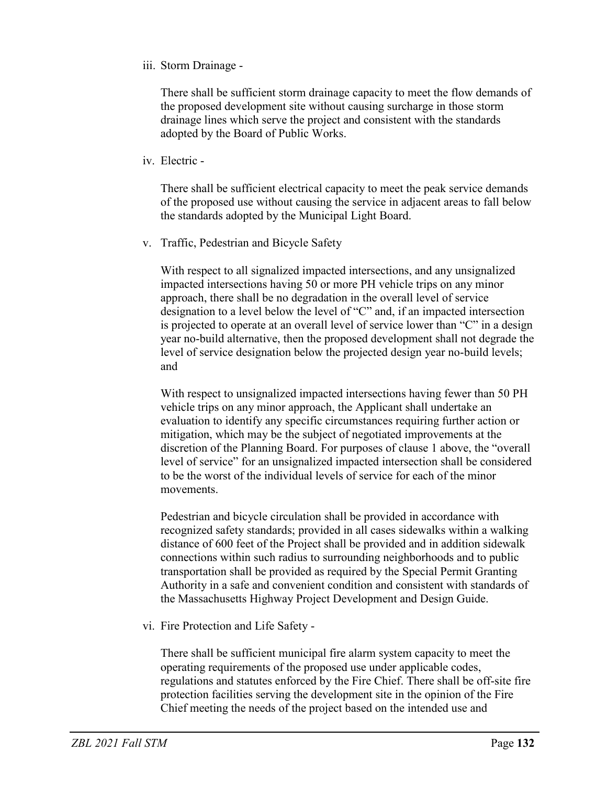iii. Storm Drainage -

There shall be sufficient storm drainage capacity to meet the flow demands of the proposed development site without causing surcharge in those storm drainage lines which serve the project and consistent with the standards adopted by the Board of Public Works.

iv. Electric -

There shall be sufficient electrical capacity to meet the peak service demands of the proposed use without causing the service in adjacent areas to fall below the standards adopted by the Municipal Light Board.

v. Traffic, Pedestrian and Bicycle Safety

With respect to all signalized impacted intersections, and any unsignalized impacted intersections having 50 or more PH vehicle trips on any minor approach, there shall be no degradation in the overall level of service designation to a level below the level of "C" and, if an impacted intersection is projected to operate at an overall level of service lower than "C" in a design year no-build alternative, then the proposed development shall not degrade the level of service designation below the projected design year no-build levels; and

With respect to unsignalized impacted intersections having fewer than 50 PH vehicle trips on any minor approach, the Applicant shall undertake an evaluation to identify any specific circumstances requiring further action or mitigation, which may be the subject of negotiated improvements at the discretion of the Planning Board. For purposes of clause 1 above, the "overall level of service" for an unsignalized impacted intersection shall be considered to be the worst of the individual levels of service for each of the minor movements.

Pedestrian and bicycle circulation shall be provided in accordance with recognized safety standards; provided in all cases sidewalks within a walking distance of 600 feet of the Project shall be provided and in addition sidewalk connections within such radius to surrounding neighborhoods and to public transportation shall be provided as required by the Special Permit Granting Authority in a safe and convenient condition and consistent with standards of the Massachusetts Highway Project Development and Design Guide.

vi. Fire Protection and Life Safety -

There shall be sufficient municipal fire alarm system capacity to meet the operating requirements of the proposed use under applicable codes, regulations and statutes enforced by the Fire Chief. There shall be off-site fire protection facilities serving the development site in the opinion of the Fire Chief meeting the needs of the project based on the intended use and